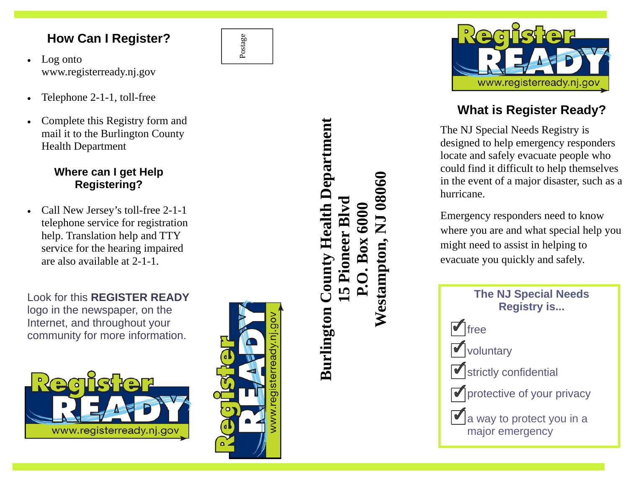## **How Can I Register?**

- Log onto www.registerready.nj.gov
- Telephone 2-1-1, toll-free
- Complete this Registry form and mail it to the Burlington County Health Department

## **Where can I get Help Registering?**

• Call New Jersey's toll-free 2-1-1 telephone service for registration help. Translation help and TTY service for the hearing impaired are also available at 2-1-1.

Look for this **REGISTER READY** logo in the newspaper, on the Internet, and throughout your community for more information.





Postage

## **Burlington County Health Department Burlington County Health Department Westampton, NJ 08060**  NJ 08060 **15 Pioneer Blvd**   $B<sub>yd</sub>$ **P.O. Box 6000**  P.O. Box 6000 Pioneer **Westampton,** 5



## **What is Register Ready?**

The NJ Special Needs Registry is designed to help emergency responders locate and safely evacuate people who could find it difficult to help themselves in the event of a major disaster, such as a hurricane.

Emergency responders need to know where you are and what special help you might need to assist in helping to evacuate you quickly and safely.